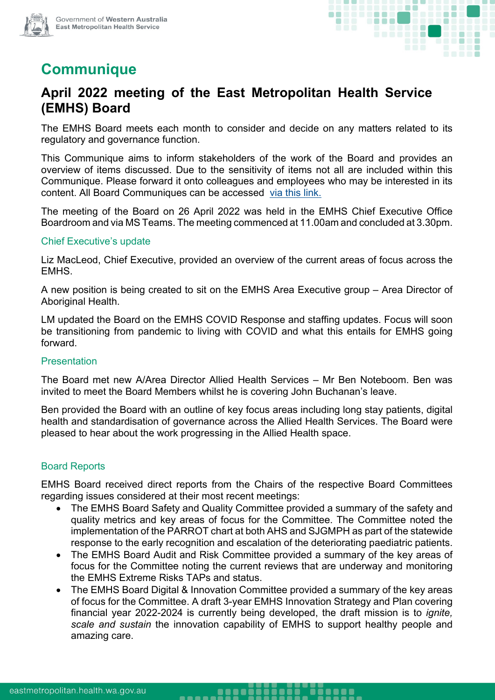



# **Communique**

## **April 2022 meeting of the East Metropolitan Health Service (EMHS) Board**

The EMHS Board meets each month to consider and decide on any matters related to its regulatory and governance function.

This Communique aims to inform stakeholders of the work of the Board and provides an overview of items discussed. Due to the sensitivity of items not all are included within this Communique. Please forward it onto colleagues and employees who may be interested in its content. All Board Communiques can be accessed [via this link.](https://emhs.health.wa.gov.au/About-Us/Health-Service-Board)

The meeting of the Board on 26 April 2022 was held in the EMHS Chief Executive Office Boardroom and via MS Teams. The meeting commenced at 11.00am and concluded at 3.30pm.

#### Chief Executive's update

Liz MacLeod, Chief Executive, provided an overview of the current areas of focus across the EMHS.

A new position is being created to sit on the EMHS Area Executive group – Area Director of Aboriginal Health.

LM updated the Board on the EMHS COVID Response and staffing updates. Focus will soon be transitioning from pandemic to living with COVID and what this entails for EMHS going forward.

#### Presentation

The Board met new A/Area Director Allied Health Services – Mr Ben Noteboom. Ben was invited to meet the Board Members whilst he is covering John Buchanan's leave.

Ben provided the Board with an outline of key focus areas including long stay patients, digital health and standardisation of governance across the Allied Health Services. The Board were pleased to hear about the work progressing in the Allied Health space.

#### Board Reports

EMHS Board received direct reports from the Chairs of the respective Board Committees regarding issues considered at their most recent meetings:

- The EMHS Board Safety and Quality Committee provided a summary of the safety and quality metrics and key areas of focus for the Committee. The Committee noted the implementation of the PARROT chart at both AHS and SJGMPH as part of the statewide response to the early recognition and escalation of the deteriorating paediatric patients.
- The EMHS Board Audit and Risk Committee provided a summary of the key areas of focus for the Committee noting the current reviews that are underway and monitoring the EMHS Extreme Risks TAPs and status.
- The EMHS Board Digital & Innovation Committee provided a summary of the key areas of focus for the Committee. A draft 3-year EMHS Innovation Strategy and Plan covering financial year 2022-2024 is currently being developed, the draft mission is to *ignite, scale and sustain* the innovation capability of EMHS to support healthy people and amazing care.

........

-----